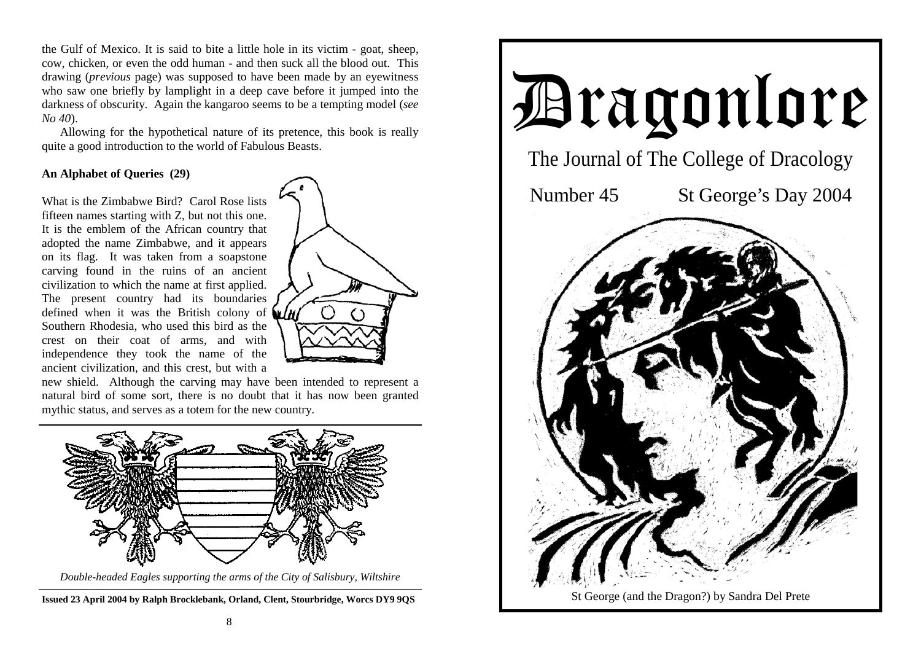the Gulf of Mexico. It is said to bite a little hole in its victim - goat, sheep, cow, chicken, or even the odd human - and then suck all the blood out. This drawing (*previous* page) was supposed to have been made by an eyewitness who saw one briefly by lamplight in a deep cave before it jumped into the darkness of obscurity. Again the kangaroo seems to be a tempting model (*see No 40*).

 Allowing for the hypothetical nature of its pretence, this book is really quite a good introduction to the world of Fabulous Beasts.

# **An Alphabet of Queries (29)**

What is the Zimbabwe Bird? Carol Rose lists fifteen names starting with Z, but not this one. It is the emblem of the African country that adopted the name Zimbabwe, and it appears on its flag. It was taken from a soapstone carving found in the ruins of an ancient civilization to which the name at first applied. The present country had its boundaries defined when it was the British colony of  $\mathbf{u}$ Southern Rhodesia, who used this bird as the crest on their coat of arms, and with independence they took the name of the ancient civilization, and this crest, but with a



new shield. Although the carving may have been intended to represent a natural bird of some sort, there is no doubt that it has now been granted mythic status, and serves as a totem for the new country.



*Double-headed Eagles supporting the arms of the City of Salisbury, Wiltshire* 

**Issued 23 April 2004 by Ralph Brocklebank, Orland, Clent, Stourbridge, Worcs DY9 9QS**

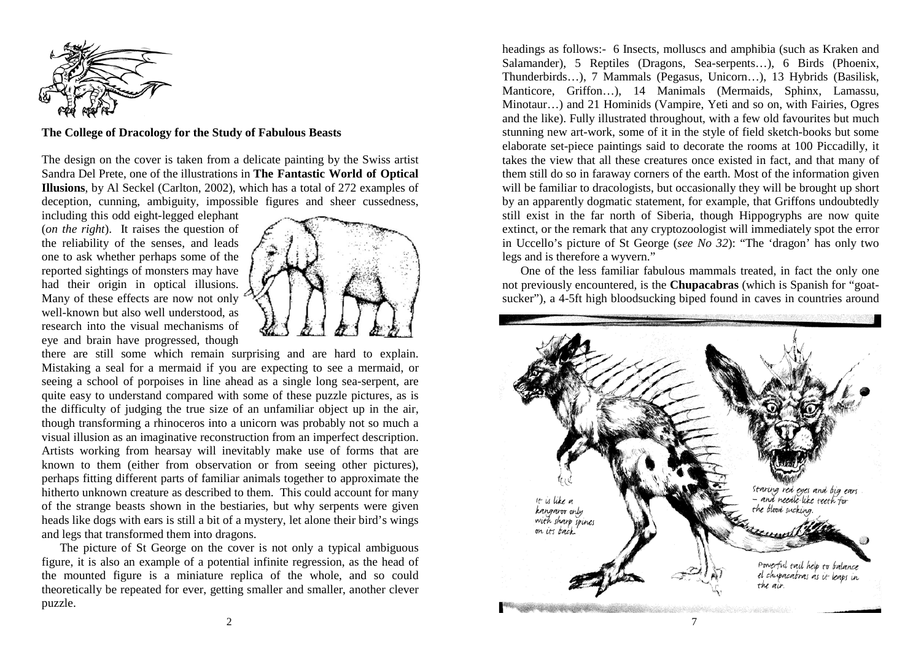

**The College of Dracology for the Study of Fabulous Beasts** 

The design on the cover is taken from a delicate painting by the Swiss artist Sandra Del Prete, one of the illustrations in **The Fantastic World of Optical Illusions**, by Al Seckel (Carlton, 2002), which has a total of 272 examples of deception, cunning, ambiguity, impossible figures and sheer cussedness,

including this odd eight-legged elephant (*on the right*). It raises the question of the reliability of the senses, and leads one to ask whether perhaps some of the reported sightings of monsters may have had their origin in optical illusions. Many of these effects are now not only well-known but also well understood, as research into the visual mechanisms of eye and brain have progressed, though



there are still some which remain surprising and are hard to explain. Mistaking a seal for a mermaid if you are expecting to see a mermaid, or seeing a school of porpoises in line ahead as a single long sea-serpent, are quite easy to understand compared with some of these puzzle pictures, as is the difficulty of judging the true size of an unfamiliar object up in the air, though transforming a rhinoceros into a unicorn was probably not so much a visual illusion as an imaginative reconstruction from an imperfect description. Artists working from hearsay will inevitably make use of forms that are known to them (either from observation or from seeing other pictures), perhaps fitting different parts of familiar animals together to approximate the hitherto unknown creature as described to them. This could account for many of the strange beasts shown in the bestiaries, but why serpents were given heads like dogs with ears is still a bit of a mystery, let alone their bird's wings and legs that transformed them into dragons.

 The picture of St George on the cover is not only a typical ambiguous figure, it is also an example of a potential infinite regression, as the head of the mounted figure is a miniature replica of the whole, and so could theoretically be repeated for ever, getting smaller and smaller, another clever puzzle.

headings as follows:- 6 Insects, molluscs and amphibia (such as Kraken and Salamander), 5 Reptiles (Dragons, Sea-serpents…), 6 Birds (Phoenix, Thunderbirds…), 7 Mammals (Pegasus, Unicorn…), 13 Hybrids (Basilisk, Manticore, Griffon…), 14 Manimals (Mermaids, Sphinx, Lamassu, Minotaur…) and 21 Hominids (Vampire, Yeti and so on, with Fairies, Ogres and the like). Fully illustrated throughout, with a few old favourites but much stunning new art-work, some of it in the style of field sketch-books but some elaborate set-piece paintings said to decorate the rooms at 100 Piccadilly, it takes the view that all these creatures once existed in fact, and that many of them still do so in faraway corners of the earth. Most of the information given will be familiar to dracologists, but occasionally they will be brought up short by an apparently dogmatic statement, for example, that Griffons undoubtedly still exist in the far north of Siberia, though Hippogryphs are now quite extinct, or the remark that any cryptozoologist will immediately spot the error in Uccello's picture of St George (*see No 32*): "The 'dragon' has only two legs and is therefore a wyvern."

 One of the less familiar fabulous mammals treated, in fact the only one not previously encountered, is the **Chupacabras** (which is Spanish for "goatsucker"), a 4-5ft high bloodsucking biped found in caves in countries around



2  $\sim$  7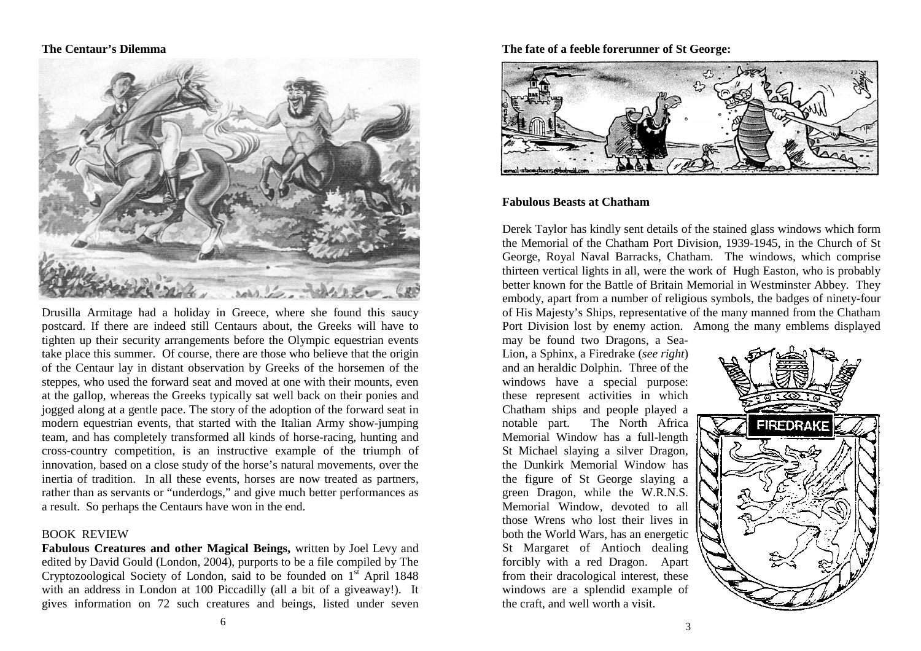#### **The Centaur's Dilemma**



Drusilla Armitage had a holiday in Greece, where she found this saucy postcard. If there are indeed still Centaurs about, the Greeks will have to tighten up their security arrangements before the Olympic equestrian events take place this summer. Of course, there are those who believe that the origin of the Centaur lay in distant observation by Greeks of the horsemen of the steppes, who used the forward seat and moved at one with their mounts, even at the gallop, whereas the Greeks typically sat well back on their ponies and jogged along at a gentle pace. The story of the adoption of the forward seat in modern equestrian events, that started with the Italian Army show-jumping team, and has completely transformed all kinds of horse-racing, hunting and cross-country competition, is an instructive example of the triumph of innovation, based on a close study of the horse's natural movements, over the inertia of tradition. In all these events, horses are now treated as partners, rather than as servants or "underdogs," and give much better performances as a result. So perhaps the Centaurs have won in the end.

#### BOOK REVIEW

**Fabulous Creatures and other Magical Beings,** written by Joel Levy and edited by David Gould (London, 2004), purports to be a file compiled by The Cryptozoological Society of London, said to be founded on  $1<sup>st</sup>$  April 1848 with an address in London at 100 Piccadilly (all a bit of a giveaway!). It gives information on 72 such creatures and beings, listed under seven

## **The fate of a feeble forerunner of St George:**



### **Fabulous Beasts at Chatham**

Derek Taylor has kindly sent details of the stained glass windows which form the Memorial of the Chatham Port Division, 1939-1945, in the Church of St George, Royal Naval Barracks, Chatham. The windows, which comprise thirteen vertical lights in all, were the work of Hugh Easton, who is probably better known for the Battle of Britain Memorial in Westminster Abbey. They embody, apart from a number of religious symbols, the badges of ninety-four of His Majesty's Ships, representative of the many manned from the Chatham Port Division lost by enemy action. Among the many emblems displayed

may be found two Dragons, a Sea-Lion, a Sphinx, a Firedrake (*see right*) and an heraldic Dolphin. Three of the windows have a special purpose: these represent activities in which Chatham ships and people played a notable part. The North Africa Memorial Window has a full-length St Michael slaying a silver Dragon, the Dunkirk Memorial Window has the figure of St George slaying a green Dragon, while the W.R.N.S. Memorial Window, devoted to all those Wrens who lost their lives in both the World Wars, has an energetic St Margaret of Antioch dealing forcibly with a red Dragon. Apart from their dracological interest, these windows are a splendid example of the craft, and well worth a visit.